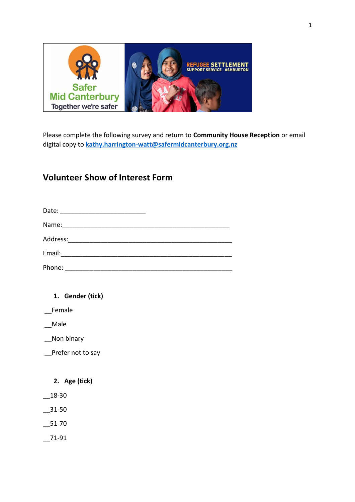

Please complete the following survey and return to **Community House Reception** or email digital copy to **[kathy.harrington-watt@safermidcanterbury.org.nz](mailto:kathy.harrington-watt@safermidcanterbury.org.nz)**

## **Volunteer Show of Interest Form**

| Date:    |  |
|----------|--|
| Name:    |  |
| Address: |  |
| Email:   |  |
| Phone:   |  |

#### **1. Gender (tick)**

\_\_Female

\_\_Male

Non binary

\_\_Prefer not to say

### **2. Age (tick)**

\_\_18-30

 $-31-50$ 

- $-51-70$
- $-71-91$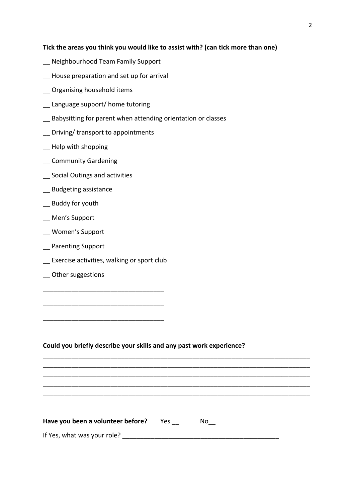#### **Tick the areas you think you would like to assist with? (can tick more than one)**

- \_\_ Neighbourhood Team Family Support
- \_\_ House preparation and set up for arrival
- \_\_ Organising household items
- \_\_ Language support/ home tutoring
- \_\_ Babysitting for parent when attending orientation or classes
- \_\_ Driving/ transport to appointments
- \_\_ Help with shopping
- \_\_ Community Gardening
- \_\_ Social Outings and activities
- \_\_ Budgeting assistance
- \_\_ Buddy for youth
- \_\_ Men's Support
- \_\_ Women's Support
- \_\_ Parenting Support
- \_\_ Exercise activities, walking or sport club

\_\_\_\_\_\_\_\_\_\_\_\_\_\_\_\_\_\_\_\_\_\_\_\_\_\_\_\_\_\_\_\_\_\_

\_\_\_\_\_\_\_\_\_\_\_\_\_\_\_\_\_\_\_\_\_\_\_\_\_\_\_\_\_\_\_\_\_\_

\_\_\_\_\_\_\_\_\_\_\_\_\_\_\_\_\_\_\_\_\_\_\_\_\_\_\_\_\_\_\_\_\_\_

\_\_ Other suggestions

**Could you briefly describe your skills and any past work experience?**

\_\_\_\_\_\_\_\_\_\_\_\_\_\_\_\_\_\_\_\_\_\_\_\_\_\_\_\_\_\_\_\_\_\_\_\_\_\_\_\_\_\_\_\_\_\_\_\_\_\_\_\_\_\_\_\_\_\_\_\_\_\_\_\_\_\_\_\_\_\_\_\_\_\_\_ \_\_\_\_\_\_\_\_\_\_\_\_\_\_\_\_\_\_\_\_\_\_\_\_\_\_\_\_\_\_\_\_\_\_\_\_\_\_\_\_\_\_\_\_\_\_\_\_\_\_\_\_\_\_\_\_\_\_\_\_\_\_\_\_\_\_\_\_\_\_\_\_\_\_\_ \_\_\_\_\_\_\_\_\_\_\_\_\_\_\_\_\_\_\_\_\_\_\_\_\_\_\_\_\_\_\_\_\_\_\_\_\_\_\_\_\_\_\_\_\_\_\_\_\_\_\_\_\_\_\_\_\_\_\_\_\_\_\_\_\_\_\_\_\_\_\_\_\_\_\_ \_\_\_\_\_\_\_\_\_\_\_\_\_\_\_\_\_\_\_\_\_\_\_\_\_\_\_\_\_\_\_\_\_\_\_\_\_\_\_\_\_\_\_\_\_\_\_\_\_\_\_\_\_\_\_\_\_\_\_\_\_\_\_\_\_\_\_\_\_\_\_\_\_\_\_ \_\_\_\_\_\_\_\_\_\_\_\_\_\_\_\_\_\_\_\_\_\_\_\_\_\_\_\_\_\_\_\_\_\_\_\_\_\_\_\_\_\_\_\_\_\_\_\_\_\_\_\_\_\_\_\_\_\_\_\_\_\_\_\_\_\_\_\_\_\_\_\_\_\_\_

| Have you been a volunteer before? | Yes | N٥ |
|-----------------------------------|-----|----|

If Yes, what was your role? \_\_\_\_\_\_\_\_\_\_\_\_\_\_\_\_\_\_\_\_\_\_\_\_\_\_\_\_\_\_\_\_\_\_\_\_\_\_\_\_\_\_\_\_